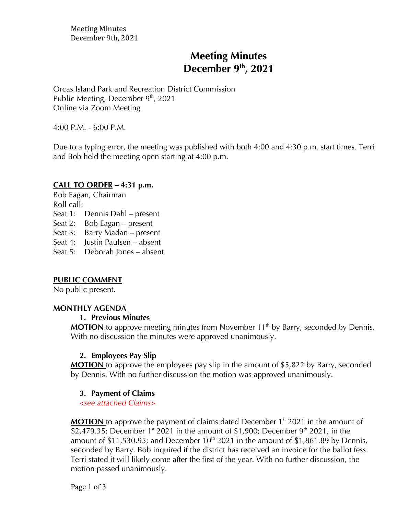# **Meeting Minutes December 9th , 2021**

Orcas Island Park and Recreation District Commission Public Meeting, December  $9<sup>th</sup>$ , 2021 Online via Zoom Meeting

4:00 P.M. - 6:00 P.M.

Due to a typing error, the meeting was published with both 4:00 and 4:30 p.m. start times. Terri and Bob held the meeting open starting at 4:00 p.m.

#### **CALL TO ORDER** *–* **4:31 p.m.**

Bob Eagan, Chairman Roll call: Seat 1: Dennis Dahl – present Seat 2: Bob Eagan – present Seat 3: Barry Madan – present Seat 4: Justin Paulsen – absent

Seat 5: Deborah Jones – absent

#### **PUBLIC COMMENT**

No public present.

#### **MONTHLY AGENDA**

#### **1. Previous Minutes**

**MOTION** to approve meeting minutes from November 11<sup>th</sup> by Barry, seconded by Dennis. With no discussion the minutes were approved unanimously.

#### **2. Employees Pay Slip**

**MOTION** to approve the employees pay slip in the amount of \$5,822 by Barry, seconded by Dennis. With no further discussion the motion was approved unanimously.

#### **3. Payment of Claims**

*<see attached Claims>*

**MOTION** to approve the payment of claims dated December 1<sup>st</sup> 2021 in the amount of \$2,479.35; December  $1<sup>st</sup>$  2021 in the amount of \$1,900; December  $9<sup>th</sup>$  2021, in the amount of \$11,530.95; and December  $10^{th}$  2021 in the amount of \$1,861.89 by Dennis, seconded by Barry. Bob inquired if the district has received an invoice for the ballot fess. Terri stated it will likely come after the first of the year. With no further discussion, the motion passed unanimously.

Page 1 of 3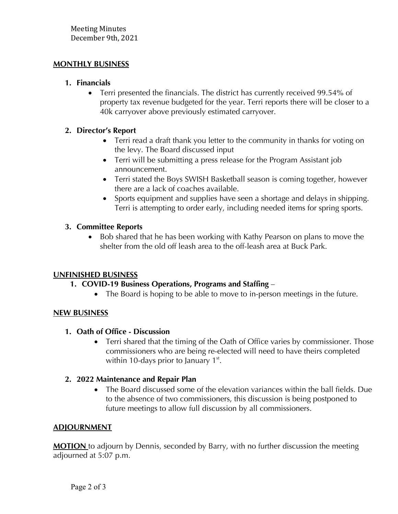## **MONTHLY BUSINESS**

#### **1. Financials**

• Terri presented the financials. The district has currently received 99.54% of property tax revenue budgeted for the year. Terri reports there will be closer to a 40k carryover above previously estimated carryover.

# **2. Director's Report**

- Terri read a draft thank you letter to the community in thanks for voting on the levy. The Board discussed input
- Terri will be submitting a press release for the Program Assistant job announcement.
- Terri stated the Boys SWISH Basketball season is coming together, however there are a lack of coaches available.
- Sports equipment and supplies have seen a shortage and delays in shipping. Terri is attempting to order early, including needed items for spring sports.

## **3. Committee Reports**

• Bob shared that he has been working with Kathy Pearson on plans to move the shelter from the old off leash area to the off-leash area at Buck Park.

#### **UNFINISHED BUSINESS**

# **1. COVID-19 Business Operations, Programs and Staffing** –

• The Board is hoping to be able to move to in-person meetings in the future.

# **NEW BUSINESS**

# **1. Oath of Office - Discussion**

• Terri shared that the timing of the Oath of Office varies by commissioner. Those commissioners who are being re-elected will need to have theirs completed within 10-days prior to January  $1<sup>st</sup>$ .

# **2. 2022 Maintenance and Repair Plan**

• The Board discussed some of the elevation variances within the ball fields. Due to the absence of two commissioners, this discussion is being postponed to future meetings to allow full discussion by all commissioners.

# **ADJOURNMENT**

**MOTION** to adjourn by Dennis, seconded by Barry, with no further discussion the meeting adjourned at 5:07 p.m.